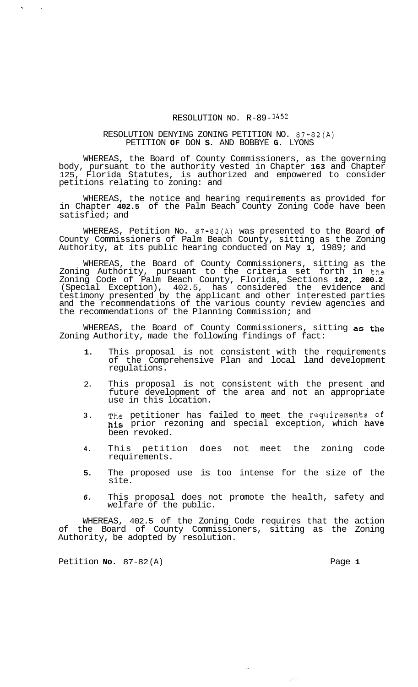## RESOLUTION NO. R-89- *<sup>1452</sup>*

## RESOLUTION DENYING ZONING PETITION NO. 87-82(A) PETITION **OF** DON **S.** AND BOBBYE **G.** LYONS

WHEREAS, the Board of County Commissioners, as the governing body, pursuant to the authority vested in Chapter **163** and Chapter 125, Florida Statutes, is authorized and empowered to consider petitions relating to zoning: and

WHEREAS, the notice and hearing requirements as provided for in Chapter **402.5** of the Palm Beach County Zoning Code have been satisfied; and

WHEREAS, Petition No. 87-82(A) was presented to the Board **of**  County Commissioners of Palm Beach County, sitting as the Zoning Authority, at its public hearing conducted on May **1,** 1989; and

WHEREAS, the Board of County Commissioners, sitting as the Zoning Authority, pursuant to the criteria set forth in the Zoning Code of Palm Beach County, Florida, Sections **102, 200.2**  (Special Exception), 402.5, has considered the evidence and testimony presented by the applicant and other interested parties and the recommendations of the various county review agencies and the recommendations of the Planning Commission; and

WHEREAS, the Board of County Commissioners, sitting as the Zoning Authority, made the following findings of fact:

- **1.** This proposal is not consistent with the requirements of the Comprehensive Plan and local land development regulations.
- 2. This proposal is not consistent with the present and future development of the area and not an appropriate use in this location.
- **3.** The petitioner has failed to meet the requirements **of**  his prior rezoning and special exception, which have been revoked.
- **4.** This petition does not meet the zoning code requirements.
- **5.** The proposed use is too intense for the size of the site.
- *6.* This proposal does not promote the health, safety and welfare of the public.

WHEREAS, 402.5 of the Zoning Code requires that the action of the Board of County Commissioners, sitting as the Zoning Authority, be adopted by resolution.

Petition **No.** 87-82(A) Page 1

 $\sim$ 

 $\sim$ 

 $\mathbf{r}$